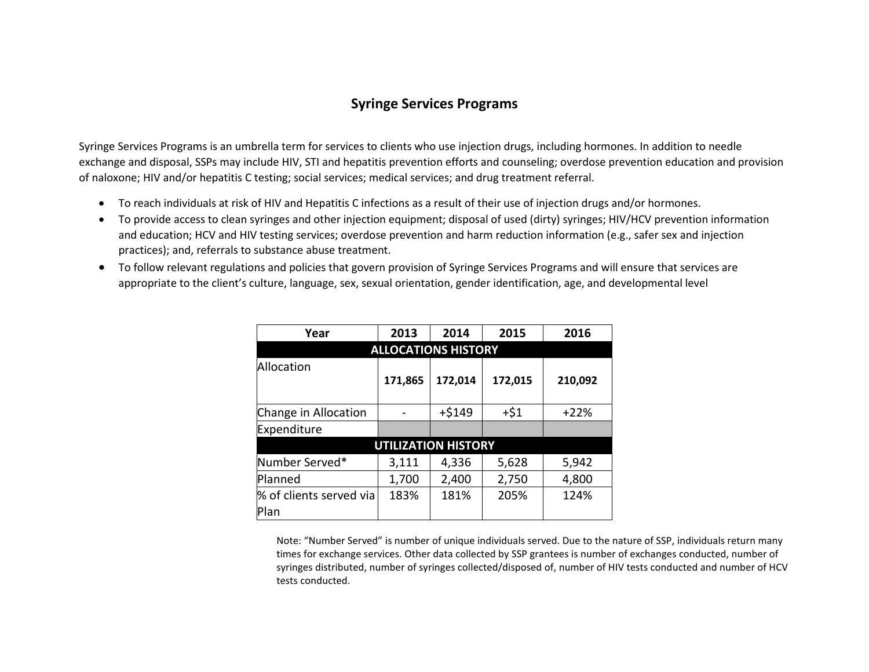## **Syringe Services Programs**

Syringe Services Programs is an umbrella term for services to clients who use injection drugs, including hormones. In addition to needle exchange and disposal, SSPs may include HIV, STI and hepatitis prevention efforts and counseling; overdose prevention education and provision of naloxone; HIV and/or hepatitis C testing; social services; medical services; and drug treatment referral.

- To reach individuals at risk of HIV and Hepatitis C infections as a result of their use of injection drugs and/or hormones.
- To provide access to clean syringes and other injection equipment; disposal of used (dirty) syringes; HIV/HCV prevention information and education; HCV and HIV testing services; overdose prevention and harm reduction information (e.g., safer sex and injection practices); and, referrals to substance abuse treatment.
- To follow relevant regulations and policies that govern provision of Syringe Services Programs and will ensure that services are appropriate to the client's culture, language, sex, sexual orientation, gender identification, age, and developmental level

| Year                       | 2013    | 2014     | 2015    | 2016    |  |  |  |  |  |  |  |
|----------------------------|---------|----------|---------|---------|--|--|--|--|--|--|--|
| <b>ALLOCATIONS HISTORY</b> |         |          |         |         |  |  |  |  |  |  |  |
| Allocation                 |         |          |         |         |  |  |  |  |  |  |  |
|                            | 171,865 | 172,014  | 172,015 | 210,092 |  |  |  |  |  |  |  |
|                            |         |          |         |         |  |  |  |  |  |  |  |
| Change in Allocation       |         | $+ $149$ | $+51$   | $+22%$  |  |  |  |  |  |  |  |
| Expenditure                |         |          |         |         |  |  |  |  |  |  |  |
| <b>UTILIZATION HISTORY</b> |         |          |         |         |  |  |  |  |  |  |  |
| Number Served*             | 3,111   | 4,336    | 5,628   | 5,942   |  |  |  |  |  |  |  |
| Planned                    | 1,700   | 2,400    | 2,750   | 4,800   |  |  |  |  |  |  |  |
| % of clients served via    | 183%    | 181%     | 205%    | 124%    |  |  |  |  |  |  |  |
| Plan                       |         |          |         |         |  |  |  |  |  |  |  |

Note: "Number Served" is number of unique individuals served. Due to the nature of SSP, individuals return many times for exchange services. Other data collected by SSP grantees is number of exchanges conducted, number of syringes distributed, number of syringes collected/disposed of, number of HIV tests conducted and number of HCV tests conducted.